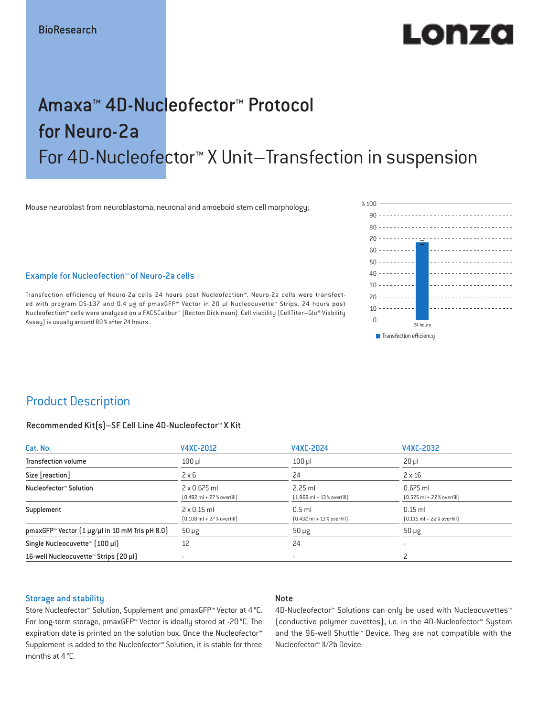# LODZO

## Amaxa™ 4D-Nucleofector™ Protocol for Neuro-2a For 4D-Nucleofector™ X Unit–Transfection in suspension

Mouse neuroblast from neuroblastoma; neuronal and amoeboid stem cell morphology;

Example for Nucleofection™ of Neuro-2a cells

Transfection efficiency of Neuro-2a cells 24 hours post Nucleofection™. Neuro-2a cells were transfected with program DS-137 and 0.4 μg of pmaxGFP™ Vector in 20 µl Nucleocuvette™ Strips. 24 hours post Nucleofection™ cells were analyzed on a FACSCalibur™ [Becton Dickinson]. Cell viability (CellTiter–Glo® Viability Assay) is usually around 80% after 24 hours..



## Product Description

#### Recommended Kit(s)–SF Cell Line 4D-Nucleofector™ X Kit

| Cat. No.                                                          | V4XC-2012                                                           | V4XC-2024                                                | V4XC-2032                                                  |  |
|-------------------------------------------------------------------|---------------------------------------------------------------------|----------------------------------------------------------|------------------------------------------------------------|--|
| <b>Transfection volume</b>                                        | $100$ $\mu$                                                         | $100$ $\mu$                                              | $20 \mu$                                                   |  |
| Size [reaction]                                                   | $2 \times 6$                                                        | 24                                                       | $2 \times 16$                                              |  |
| Nucleofector™ Solution                                            | $2 \times 0.675$ ml<br>$[0.492 \text{ ml} + 27 \text{ %} overfill]$ | $2.25$ ml<br>$(1.968 \text{ ml} + 13 % \text{overfill})$ | $0.675$ ml<br>$[0.525 \text{ ml} + 22 \text{ % overfill}]$ |  |
| Supplement                                                        | $2 \times 0.15$ ml<br>$[0.108 \text{ ml} + 27 \text{ %} overfill]$  | $0.5$ ml<br>$[0.432 \text{ ml} + 13 \text{ %} overfill]$ | $0.15$ ml<br>$[0.115 \text{ ml} + 22 \text{ % overfill}]$  |  |
| pmaxGFP <sup>*</sup> Vector $(1 \mu g/\mu)$ in 10 mM Tris pH 8.0) | $50 \mu g$                                                          | $50 \mu g$                                               | $50 \mu g$                                                 |  |
| Single Nucleocuvette™ (100 µl)                                    | 12                                                                  | 24                                                       |                                                            |  |
| 16-well Nucleocuvette <sup>™</sup> Strips [20 µl]                 | $\overline{\phantom{a}}$                                            | $\overline{\phantom{a}}$                                 |                                                            |  |

#### Storage and stability

#### Note

Store Nucleofector™ Solution, Supplement and pmaxGFP™ Vector at 4°C. For long-term storage, pmaxGFP™ Vector is ideally stored at -20 °C. The expiration date is printed on the solution box. Once the Nucleofector™ Supplement is added to the Nucleofector™ Solution, it is stable for three months at 4°C.

4D-Nucleofector™ Solutions can only be used with Nucleocuvettes™ (conductive polymer cuvettes), i.e. in the 4D-Nucleofector™ System and the 96-well Shuttle™ Device. They are not compatible with the Nucleofector™ II/2b Device.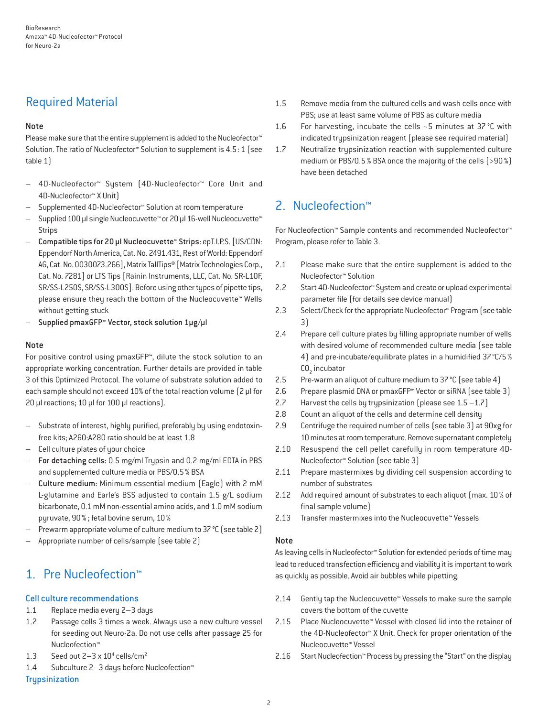## Required Material

#### Note

Please make sure that the entire supplement is added to the Nucleofector<sup>™</sup> Solution. The ratio of Nucleofector™ Solution to supplement is 4.5:1 (see table 1)

- 4D-Nucleofector™ System (4D-Nucleofector™ Core Unit and 4D-Nucleofector™ X Unit)
- Supplemented 4D-Nucleofector™ Solution at room temperature
- Supplied 100 µl single Nucleocuvette™ or 20 µl 16-well Nucleocuvette™ Strips
- Compatible tips for 20 µl Nucleocuvette™ Strips: epT.I.P.S. [US/CDN: Eppendorf North America, Cat. No. 2491.431, Rest of World: Eppendorf AG, Cat. No. 0030073.266], Matrix TallTips® [Matrix Technologies Corp., Cat. No. 7281] or LTS Tips [Rainin Instruments, LLC, Cat. No. SR-L10F, SR/SS-L250S, SR/SS-L300S]. Before using other types of pipette tips, please ensure they reach the bottom of the Nucleocuvette™ Wells without getting stuck
- Supplied pmaxGFP™ Vector, stock solution 1µg/µl

#### Note

For positive control using pmaxGFP™, dilute the stock solution to an appropriate working concentration. Further details are provided in table 3 of this Optimized Protocol. The volume of substrate solution added to each sample should not exceed 10% of the total reaction volume [2 µl for 20 µl reactions; 10 µl for 100 µl reactions).

- Substrate of interest, highly purified, preferably by using endotoxinfree kits; A260:A280 ratio should be at least 1.8
- Cell culture plates of your choice
- For detaching cells: 0.5 mg/ml Trypsin and 0.2 mg/ml EDTA in PBS and supplemented culture media or PBS/0.5% BSA
- Culture medium: Minimum essential medium (Eagle) with 2 mM L-glutamine and Earle's BSS adjusted to contain 1.5 g/L sodium bicarbonate, 0.1 mM non-essential amino acids, and 1.0 mM sodium pyruvate, 90% ; fetal bovine serum, 10%
- Prewarm appropriate volume of culture medium to 37 °C (see table 2)
- Appropriate number of cells/sample (see table 2)

## 1. Pre Nucleofection™

#### Cell culture recommendations

- 1.1 Replace media every 2–3 days
- 1.2 Passage cells 3 times a week. Always use a new culture vessel for seeding out Neuro-2a. Do not use cells after passage 25 for Nucleofection™
- 1.3 Seed out  $2-3 \times 10^4$  cells/cm<sup>2</sup>
- 1.4 Subculture 2–3 days before Nucleofection™

#### **Trupsinization**

- 1.5 Remove media from the cultured cells and wash cells once with PBS; use at least same volume of PBS as culture media
- 1.6 For harvesting, incubate the cells ~5 minutes at 37 °C with indicated trypsinization reagent (please see required material)
- 1.7 Neutralize trypsinization reaction with supplemented culture medium or PBS/0.5% BSA once the majority of the cells (>90%) have been detached

## 2. Nucleofection™

For Nucleofection™ Sample contents and recommended Nucleofector™ Program, please refer to Table 3.

- 2.1 Please make sure that the entire supplement is added to the Nucleofector™ Solution
- 2.2 Start 4D-Nucleofector™ System and create or upload experimental parameter file (for details see device manual)
- 2.3 Select/Check for the appropriate Nucleofector™ Program (see table 3)
- 2.4 Prepare cell culture plates by filling appropriate number of wells with desired volume of recommended culture media (see table 4) and pre-incubate/equilibrate plates in a humidified 37°C/5%  $CO<sub>2</sub>$  incubator
- 2.5 Pre-warm an aliquot of culture medium to 37 °C (see table 4)
- 2.6 Prepare plasmid DNA or pmaxGFP™ Vector or siRNA (see table 3)
- 2.7 Harvest the cells by trypsinization (please see  $1.5 1.7$ )
- 2.8 Count an aliquot of the cells and determine cell density
- 2.9 Centrifuge the required number of cells (see table 3) at 90xg for 10 minutes at room temperature. Remove supernatant completely
- 2.10 Resuspend the cell pellet carefully in room temperature 4D-Nucleofector™ Solution (see table 3)
- 2.11 Prepare mastermixes by dividing cell suspension according to number of substrates
- 2.12 Add required amount of substrates to each aliquot (max. 10% of final sample volume)
- 2.13 Transfer mastermixes into the Nucleocuvette™ Vessels

#### Note

As leaving cells in Nucleofector™ Solution for extended periods of time may lead to reduced transfection efficiency and viability it is important to work as quickly as possible. Avoid air bubbles while pipetting.

- 2.14 Gently tap the Nucleocuvette™ Vessels to make sure the sample covers the bottom of the cuvette
- 2.15 Place Nucleocuvette™ Vessel with closed lid into the retainer of the 4D-Nucleofector™ X Unit. Check for proper orientation of the Nucleocuvette™ Vessel
- 2.16 Start Nucleofection™ Process by pressing the "Start" on the display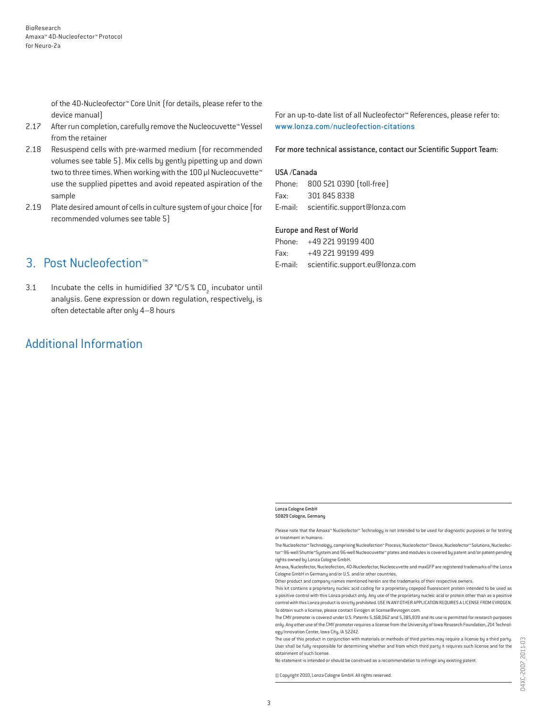of the 4D-Nucleofector™ Core Unit (for details, please refer to the device manual)

- 2.17 After run completion, carefully remove the Nucleocuvette™ Vessel from the retainer
- 2.18 Resuspend cells with pre-warmed medium (for recommended volumes see table 5). Mix cells by gently pipetting up and down two to three times. When working with the 100 µl Nucleocuvette™ use the supplied pipettes and avoid repeated aspiration of the sample
- 2.19 Plate desired amount of cells in culture system of your choice (for recommended volumes see table 5)

## 3. Post Nucleofection™

3.1 Incubate the cells in humidified  $37^{\circ}$ C/5 % CO<sub>2</sub> incubator until analysis. Gene expression or down regulation, respectively, is often detectable after only 4–8 hours

## Additional Information

For an up-to-date list of all Nucleofector™ References, please refer to: www.lonza.com/nucleofection-citations

For more technical assistance, contact our Scientific Support Team:

#### USA /Canada

Phone: 800 521 0390 (toll-free) Fax: 301 845 8338 E-mail: scientific.support@lonza.com

#### Europe and Rest of World

| Phone: +49 221 99199 400                |
|-----------------------------------------|
| Fax: $+49$ 221 99199 499                |
| E-mail: scientific.support.eu@lonza.com |

#### Lonza Cologne GmbH 50829 Cologne, Germany

Please note that the Amaxa™ Nucleofector™ Technology is not intended to be used for diagnostic purposes or for testing or treatment in humans.

The Nucleofector™ Technology, comprising Nucleofection™ Process, Nucleofector™ Device, Nucleofector™ Solutions, Nucleofector™ 96-well Shuttle™System and 96-well Nucleocuvette™ plates and modules is covered by patent and/or patent-pending rights owned by Lonza Cologne GmbH.

Amaxa, Nucleofector, Nucleofection, 4D-Nucleofector, Nucleocuvette and maxGFP are registered trademarks of the Lonza Cologne GmbH in Germany and/or U.S. and/or other countries.

Other product and company names mentioned herein are the trademarks of their respective owners.

This kit contains a proprietary nucleic acid coding for a proprietary copepod fluorescent protein intended to be used as a positive control with this Lonza product only. Any use of the proprietary nucleic acid or protein other than as a positive control with this Lonza product is strictly prohibited. USE IN ANY OTHER APPLICATION REQUIRES A LICENSE FROM EVROGEN. To obtain such a license, please contact Evrogen at license@evrogen.com.

The CMV promoter is covered under U.S. Patents 5,168,062 and 5,385,839 and its use is permitted for research purposes only. Any other use of the CMV promoter requires a license from the University of Iowa Research Foundation, 214 Technology Innovation Center, Iowa City, IA 52242.

The use of this product in conjunction with materials or methods of third parties may require a license by a third party. User shall be fully responsible for determining whether and from which third party it requires such license and for the obtainment of such license.

No statement is intended or should be construed as a recommendation to infringe any existing patent.

© Copyright 2010, Lonza Cologne GmbH. All rights reserved.